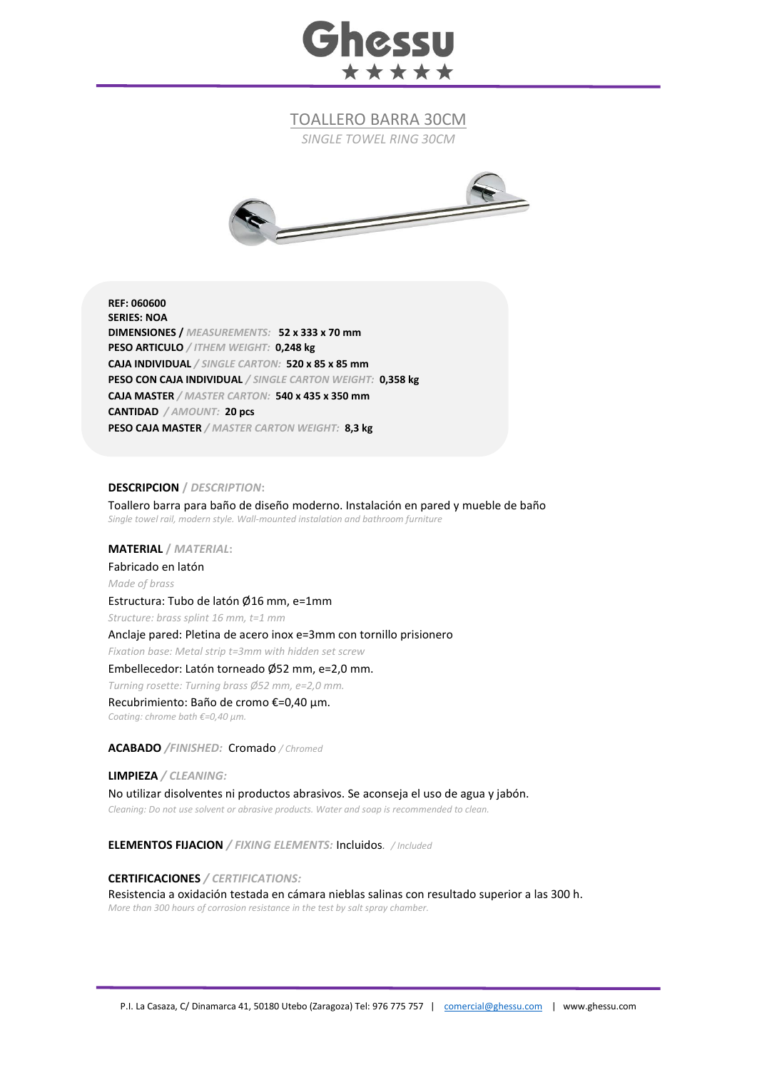

TOALLERO BARRA 30CM

*SINGLE TOWEL RING 30CM*



**REF: 060600 SERIES: NOA DIMENSIONES /** *MEASUREMENTS:* **52 x 333 x 70 mm PESO ARTICULO** */ ITHEM WEIGHT:* **0,248 kg CAJA INDIVIDUAL** */ SINGLE CARTON:* **520 x 85 x 85 mm PESO CON CAJA INDIVIDUAL** */ SINGLE CARTON WEIGHT:* **0,358 kg CAJA MASTER** */ MASTER CARTON:* **540 x 435 x 350 mm CANTIDAD** */ AMOUNT:* **20 pcs PESO CAJA MASTER** */ MASTER CARTON WEIGHT:* **8,3 kg**

## **DESCRIPCION /** *DESCRIPTION***:**

Toallero barra para baño de diseño moderno. Instalación en pared y mueble de baño *Single towel rail, modern style. Wall-mounted instalation and bathroom furniture*

**MATERIAL /** *MATERIAL***:** 

Fabricado en latón *Made of brass*

Estructura: Tubo de latón Ø16 mm, e=1mm

*Structure: brass splint 16 mm, t=1 mm*

Anclaje pared: Pletina de acero inox e=3mm con tornillo prisionero

*Fixation base: Metal strip t=3mm with hidden set screw*

## Embellecedor: Latón torneado Ø52 mm, e=2,0 mm.

*Turning rosette: Turning brass Ø52 mm, e=2,0 mm.*

Recubrimiento: Baño de cromo €=0,40 μm. *Coating: chrome bath €=0,40 μm.*

**ACABADO** */FINISHED:*Cromado */ Chromed*

**LIMPIEZA** */ CLEANING:*

No utilizar disolventes ni productos abrasivos. Se aconseja el uso de agua y jabón. *Cleaning: Do not use solvent or abrasive products. Water and soap is recommended to clean.*

**ELEMENTOS FIJACION** */ FIXING ELEMENTS:* Incluidos*. / Included*

**CERTIFICACIONES** */ CERTIFICATIONS:*

Resistencia a oxidación testada en cámara nieblas salinas con resultado superior a las 300 h. *More than 300 hours of corrosion resistance in the test by salt spray chamber.*